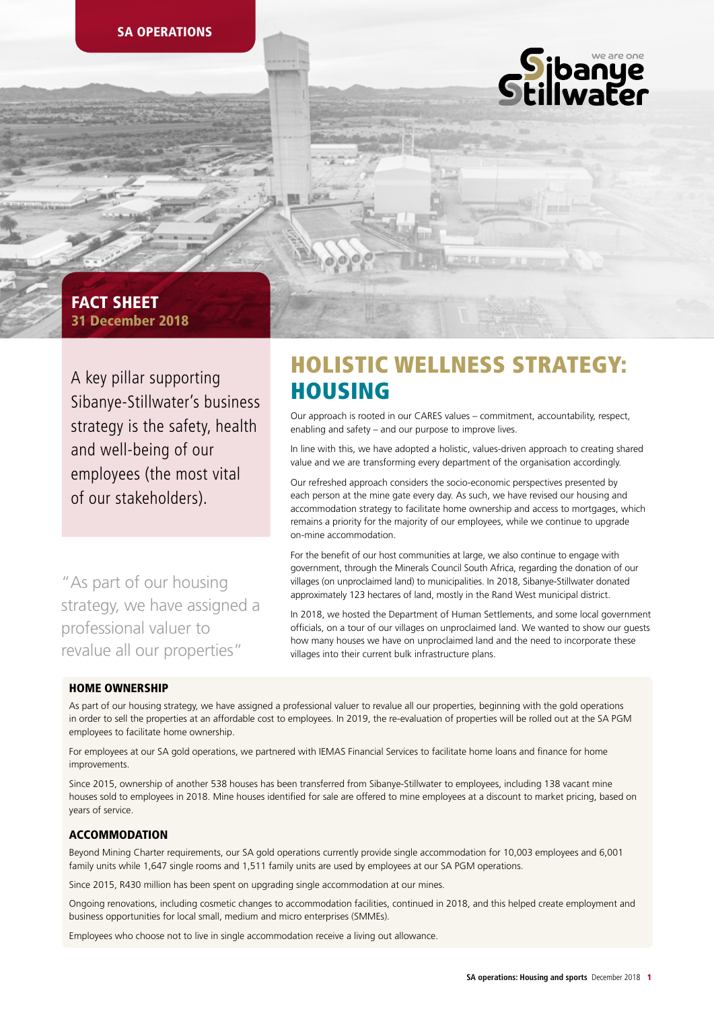

# 31 December 2018 FACT SHEET

A key pillar supporting Sibanye-Stillwater's business strategy is the safety, health and well-being of our employees (the most vital of our stakeholders).

"As part of our housing strategy, we have assigned a professional valuer to revalue all our properties"

# HOLISTIC WELLNESS STRATEGY: HOUSING

Our approach is rooted in our CARES values – commitment, accountability, respect, enabling and safety – and our purpose to improve lives.

In line with this, we have adopted a holistic, values-driven approach to creating shared value and we are transforming every department of the organisation accordingly.

Our refreshed approach considers the socio-economic perspectives presented by each person at the mine gate every day. As such, we have revised our housing and accommodation strategy to facilitate home ownership and access to mortgages, which remains a priority for the majority of our employees, while we continue to upgrade on-mine accommodation.

For the benefit of our host communities at large, we also continue to engage with government, through the Minerals Council South Africa, regarding the donation of our villages (on unproclaimed land) to municipalities. In 2018, Sibanye-Stillwater donated approximately 123 hectares of land, mostly in the Rand West municipal district.

In 2018, we hosted the Department of Human Settlements, and some local government officials, on a tour of our villages on unproclaimed land. We wanted to show our guests how many houses we have on unproclaimed land and the need to incorporate these villages into their current bulk infrastructure plans.

## HOME OWNERSHIP

As part of our housing strategy, we have assigned a professional valuer to revalue all our properties, beginning with the gold operations in order to sell the properties at an affordable cost to employees. In 2019, the re-evaluation of properties will be rolled out at the SA PGM employees to facilitate home ownership.

For employees at our SA gold operations, we partnered with IEMAS Financial Services to facilitate home loans and finance for home improvements.

Since 2015, ownership of another 538 houses has been transferred from Sibanye-Stillwater to employees, including 138 vacant mine houses sold to employees in 2018. Mine houses identified for sale are offered to mine employees at a discount to market pricing, based on years of service.

## **ACCOMMODATION**

Beyond Mining Charter requirements, our SA gold operations currently provide single accommodation for 10,003 employees and 6,001 family units while 1,647 single rooms and 1,511 family units are used by employees at our SA PGM operations.

Since 2015, R430 million has been spent on upgrading single accommodation at our mines.

Ongoing renovations, including cosmetic changes to accommodation facilities, continued in 2018, and this helped create employment and business opportunities for local small, medium and micro enterprises (SMMEs).

Employees who choose not to live in single accommodation receive a living out allowance.